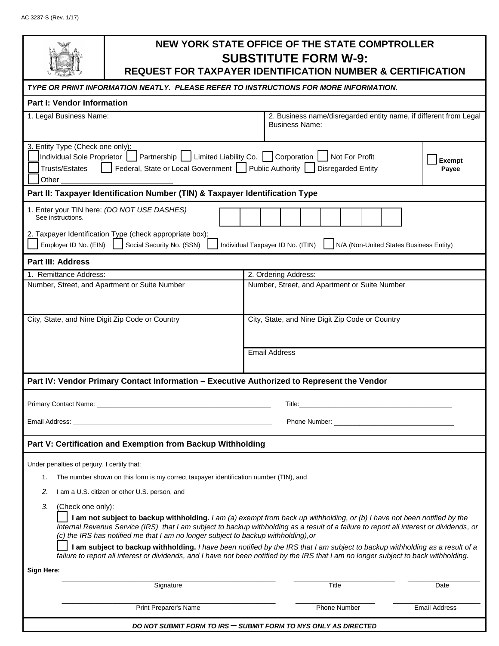|                                                                                                                                                                                                                                                                                                                                                                                      | NEW YORK STATE OFFICE OF THE STATE COMPTROLLER<br><b>SUBSTITUTE FORM W-9:</b><br><b>REQUEST FOR TAXPAYER IDENTIFICATION NUMBER &amp; CERTIFICATION</b> |                                                 |                      |
|--------------------------------------------------------------------------------------------------------------------------------------------------------------------------------------------------------------------------------------------------------------------------------------------------------------------------------------------------------------------------------------|--------------------------------------------------------------------------------------------------------------------------------------------------------|-------------------------------------------------|----------------------|
| TYPE OR PRINT INFORMATION NEATLY. PLEASE REFER TO INSTRUCTIONS FOR MORE INFORMATION.                                                                                                                                                                                                                                                                                                 |                                                                                                                                                        |                                                 |                      |
| <b>Part I: Vendor Information</b>                                                                                                                                                                                                                                                                                                                                                    |                                                                                                                                                        |                                                 |                      |
| 1. Legal Business Name:<br>2. Business name/disregarded entity name, if different from Legal<br><b>Business Name:</b>                                                                                                                                                                                                                                                                |                                                                                                                                                        |                                                 |                      |
| 3. Entity Type (Check one only):<br>J Partnership   J Limited Liability Co.   Corporation   Not For Profit<br>Individual Sole Proprietor<br>Exempt<br>Federal, State or Local Government Public Authority Disregarded Entity<br><b>Trusts/Estates</b><br>Payee<br>Other $\_$                                                                                                         |                                                                                                                                                        |                                                 |                      |
| Part II: Taxpayer Identification Number (TIN) & Taxpayer Identification Type                                                                                                                                                                                                                                                                                                         |                                                                                                                                                        |                                                 |                      |
| 1. Enter your TIN here: (DO NOT USE DASHES)<br>See instructions.                                                                                                                                                                                                                                                                                                                     |                                                                                                                                                        |                                                 |                      |
| 2. Taxpayer Identification Type (check appropriate box):<br>Employer ID No. (EIN)<br>Social Security No. (SSN)<br>Individual Taxpayer ID No. (ITIN)<br>N/A (Non-United States Business Entity)                                                                                                                                                                                       |                                                                                                                                                        |                                                 |                      |
| <b>Part III: Address</b>                                                                                                                                                                                                                                                                                                                                                             |                                                                                                                                                        |                                                 |                      |
| 1. Remittance Address:                                                                                                                                                                                                                                                                                                                                                               |                                                                                                                                                        | 2. Ordering Address:                            |                      |
| Number, Street, and Apartment or Suite Number                                                                                                                                                                                                                                                                                                                                        |                                                                                                                                                        | Number, Street, and Apartment or Suite Number   |                      |
| City, State, and Nine Digit Zip Code or Country                                                                                                                                                                                                                                                                                                                                      |                                                                                                                                                        | City, State, and Nine Digit Zip Code or Country |                      |
|                                                                                                                                                                                                                                                                                                                                                                                      |                                                                                                                                                        | <b>Email Address</b>                            |                      |
| Part IV: Vendor Primary Contact Information - Executive Authorized to Represent the Vendor                                                                                                                                                                                                                                                                                           |                                                                                                                                                        |                                                 |                      |
| Primary Contact Name: _<br>Title:                                                                                                                                                                                                                                                                                                                                                    |                                                                                                                                                        |                                                 |                      |
| Email Address: North American Security of the Security of the Security of the Security of the Security of the                                                                                                                                                                                                                                                                        |                                                                                                                                                        |                                                 |                      |
| Part V: Certification and Exemption from Backup Withholding                                                                                                                                                                                                                                                                                                                          |                                                                                                                                                        |                                                 |                      |
|                                                                                                                                                                                                                                                                                                                                                                                      |                                                                                                                                                        |                                                 |                      |
| Under penalties of perjury, I certify that:                                                                                                                                                                                                                                                                                                                                          |                                                                                                                                                        |                                                 |                      |
| The number shown on this form is my correct taxpayer identification number (TIN), and<br>1.                                                                                                                                                                                                                                                                                          |                                                                                                                                                        |                                                 |                      |
| 2.<br>I am a U.S. citizen or other U.S. person, and                                                                                                                                                                                                                                                                                                                                  |                                                                                                                                                        |                                                 |                      |
| 3.<br>(Check one only):<br>I am not subject to backup withholding. I am (a) exempt from back up withholding, or (b) I have not been notified by the<br>Internal Revenue Service (IRS) that I am subject to backup withholding as a result of a failure to report all interest or dividends, or<br>(c) the IRS has notified me that I am no longer subject to backup withholding), or |                                                                                                                                                        |                                                 |                      |
| I am subject to backup withholding. I have been notified by the IRS that I am subject to backup withholding as a result of a<br>failure to report all interest or dividends, and I have not been notified by the IRS that I am no longer subject to back withholding.                                                                                                                |                                                                                                                                                        |                                                 |                      |
| Sign Here:                                                                                                                                                                                                                                                                                                                                                                           |                                                                                                                                                        |                                                 |                      |
|                                                                                                                                                                                                                                                                                                                                                                                      | Signature                                                                                                                                              | Title                                           | Date                 |
|                                                                                                                                                                                                                                                                                                                                                                                      | Print Preparer's Name                                                                                                                                  | <b>Phone Number</b>                             | <b>Email Address</b> |
| DO NOT SUBMIT FORM TO IRS — SUBMIT FORM TO NYS ONLY AS DIRECTED                                                                                                                                                                                                                                                                                                                      |                                                                                                                                                        |                                                 |                      |